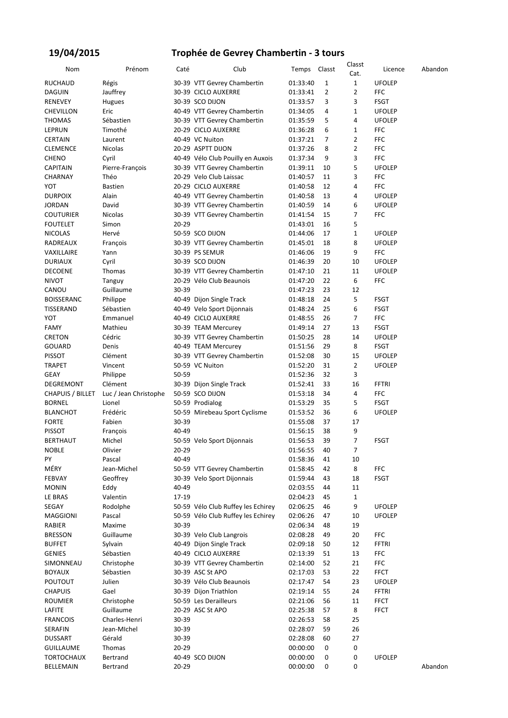### **19/04/2015**

### **Trophée de Gevrey Chambertin - 3 tours**

| Nom                     | Prénom                | Caté      | Club                               | Temps    | Classt         | Classt<br>Cat. | Licence       | Abandon |
|-------------------------|-----------------------|-----------|------------------------------------|----------|----------------|----------------|---------------|---------|
| <b>RUCHAUD</b>          | Régis                 |           | 30-39 VTT Gevrey Chambertin        | 01:33:40 | 1              | $\mathbf{1}$   | <b>UFOLEP</b> |         |
| <b>DAGUIN</b>           | Jauffrey              |           | 30-39 CICLO AUXERRE                | 01:33:41 | $\overline{2}$ | $\overline{2}$ | <b>FFC</b>    |         |
| <b>RENEVEY</b>          | Hugues                |           | 30-39 SCO DIJON                    | 01:33:57 | 3              | 3              | <b>FSGT</b>   |         |
| <b>CHEVILLON</b>        | Eric                  |           | 40-49 VTT Gevrey Chambertin        | 01:34:05 | 4              | $\mathbf{1}$   | <b>UFOLEP</b> |         |
| <b>THOMAS</b>           | Sébastien             |           | 30-39 VTT Gevrey Chambertin        | 01:35:59 | 5              | 4              | <b>UFOLEP</b> |         |
| LEPRUN                  | Timothé               |           | 20-29 CICLO AUXERRE                | 01:36:28 | 6              | 1              | FFC           |         |
| <b>CERTAIN</b>          | Laurent               |           | 40-49 VC Nuiton                    | 01:37:21 | 7              | $\overline{2}$ | <b>FFC</b>    |         |
| <b>CLEMENCE</b>         | Nicolas               |           | 20-29 ASPTT DIJON                  | 01:37:26 | 8              | $\overline{2}$ | <b>FFC</b>    |         |
| <b>CHENO</b>            | Cyril                 |           | 40-49 Vélo Club Pouilly en Auxois  | 01:37:34 | 9              | 3              | <b>FFC</b>    |         |
| <b>CAPITAIN</b>         | Pierre-François       |           | 30-39 VTT Gevrey Chambertin        | 01:39:11 | 10             | 5              | <b>UFOLEP</b> |         |
| <b>CHARNAY</b>          | Théo                  |           | 20-29 Velo Club Laissac            | 01:40:57 | 11             | 3              | <b>FFC</b>    |         |
| YOT                     | <b>Bastien</b>        |           | 20-29 CICLO AUXERRE                | 01:40:58 | 12             | 4              | <b>FFC</b>    |         |
| <b>DURPOIX</b>          | Alain                 |           | 40-49 VTT Gevrey Chambertin        | 01:40:58 | 13             | 4              | <b>UFOLEP</b> |         |
| JORDAN                  | David                 |           | 30-39 VTT Gevrey Chambertin        | 01:40:59 | 14             | 6              | <b>UFOLEP</b> |         |
| <b>COUTURIER</b>        | Nicolas               |           | 30-39 VTT Gevrey Chambertin        | 01:41:54 | 15             | 7              | <b>FFC</b>    |         |
| <b>FOUTELET</b>         | Simon                 | $20 - 29$ |                                    | 01:43:01 | 16             | 5              |               |         |
| <b>NICOLAS</b>          | Hervé                 |           | 50-59 SCO DIJON                    | 01:44:06 | 17             | $\mathbf{1}$   | <b>UFOLEP</b> |         |
| RADREAUX                |                       |           | 30-39 VTT Gevrey Chambertin        | 01:45:01 | 18             | 8              | <b>UFOLEP</b> |         |
|                         | François              |           | 30-39 PS SEMUR                     |          | 19             | 9              | <b>FFC</b>    |         |
| VAXILLAIRE              | Yann                  |           |                                    | 01:46:06 | 20             | 10             |               |         |
| <b>DURIAUX</b>          | Cyril                 |           | 30-39 SCO DIJON                    | 01:46:39 |                |                | <b>UFOLEP</b> |         |
| <b>DECOENE</b>          | Thomas                |           | 30-39 VTT Gevrey Chambertin        | 01:47:10 | 21             | 11             | <b>UFOLEP</b> |         |
| <b>NIVOT</b>            | Tanguy                |           | 20-29 Vélo Club Beaunois           | 01:47:20 | 22             | 6              | <b>FFC</b>    |         |
| CANOU                   | Guillaume             | 30-39     |                                    | 01:47:23 | 23             | 12             |               |         |
| <b>BOISSERANC</b>       | Philippe              |           | 40-49 Dijon Single Track           | 01:48:18 | 24             | 5              | <b>FSGT</b>   |         |
| TISSERAND               | Sébastien             |           | 40-49 Velo Sport Dijonnais         | 01:48:24 | 25             | 6              | <b>FSGT</b>   |         |
| YOT                     | Emmanuel              |           | 40-49 CICLO AUXERRE                | 01:48:55 | 26             | 7              | <b>FFC</b>    |         |
| <b>FAMY</b>             | Mathieu               |           | 30-39 TEAM Mercurey                | 01:49:14 | 27             | 13             | <b>FSGT</b>   |         |
| <b>CRETON</b>           | Cédric                |           | 30-39 VTT Gevrey Chambertin        | 01:50:25 | 28             | 14             | <b>UFOLEP</b> |         |
| <b>GOUARD</b>           | Denis                 |           | 40-49 TEAM Mercurey                | 01:51:56 | 29             | 8              | <b>FSGT</b>   |         |
| <b>PISSOT</b>           | Clément               |           | 30-39 VTT Gevrey Chambertin        | 01:52:08 | 30             | 15             | <b>UFOLEP</b> |         |
| <b>TRAPET</b>           | Vincent               |           | 50-59 VC Nuiton                    | 01:52:20 | 31             | $\overline{2}$ | <b>UFOLEP</b> |         |
| <b>GEAY</b>             | Philippe              | 50-59     |                                    | 01:52:36 | 32             | 3              |               |         |
| DEGREMONT               | Clément               |           | 30-39 Dijon Single Track           | 01:52:41 | 33             | 16             | FFTRI         |         |
| <b>CHAPUIS / BILLET</b> | Luc / Jean Christophe |           | 50-59 SCO DIJON                    | 01:53:18 | 34             | 4              | <b>FFC</b>    |         |
| <b>BORNEL</b>           | Lionel                |           | 50-59 Prodialog                    | 01:53:29 | 35             | 5              | <b>FSGT</b>   |         |
| <b>BLANCHOT</b>         | Frédéric              |           | 50-59 Mirebeau Sport Cyclisme      | 01:53:52 | 36             | 6              | <b>UFOLEP</b> |         |
| <b>FORTE</b>            | Fabien                | 30-39     |                                    | 01:55:08 | 37             | 17             |               |         |
| <b>PISSOT</b>           | François              | 40-49     |                                    | 01:56:15 | 38             | 9              |               |         |
| <b>BERTHAUT</b>         | Michel                |           | 50-59 Velo Sport Dijonnais         | 01:56:53 | 39             | $\overline{7}$ | <b>FSGT</b>   |         |
| <b>NOBLE</b>            | Olivier               | $20 - 29$ |                                    | 01:56:55 | 40             | 7              |               |         |
| PY                      | Pascal                | 40-49     |                                    | 01:58:36 | 41             | 10             |               |         |
| MÉRY                    | Jean-Michel           |           | 50-59 VTT Gevrey Chambertin        | 01:58:45 | 42             | 8              | <b>FFC</b>    |         |
| FEBVAY                  | Geoffrey              |           | 30-39 Velo Sport Dijonnais         | 01:59:44 | 43             | 18             | <b>FSGT</b>   |         |
| <b>MONIN</b>            | Eddy                  | 40-49     |                                    | 02:03:55 | 44             | 11             |               |         |
| LE BRAS                 | Valentin              | 17-19     |                                    | 02:04:23 | 45             | 1              |               |         |
| SEGAY                   | Rodolphe              |           | 50-59 Vélo Club Ruffey les Echirey | 02:06:25 | 46             | 9              | <b>UFOLEP</b> |         |
| <b>MAGGIONI</b>         | Pascal                |           | 50-59 Vélo Club Ruffey les Echirey | 02:06:26 | 47             | 10             | <b>UFOLEP</b> |         |
| RABIER                  | Maxime                | 30-39     |                                    | 02:06:34 | 48             | 19             |               |         |
| <b>BRESSON</b>          | Guillaume             |           | 30-39 Velo Club Langrois           | 02:08:28 | 49             | 20             | <b>FFC</b>    |         |
| <b>BUFFET</b>           | Sylvain               |           | 40-49 Dijon Single Track           | 02:09:18 | 50             | 12             | FFTRI         |         |
| <b>GENIES</b>           | Sébastien             |           | 40-49 CICLO AUXERRE                | 02:13:39 | 51             | 13             | <b>FFC</b>    |         |
| SIMONNEAU               | Christophe            |           | 30-39 VTT Gevrey Chambertin        | 02:14:00 | 52             | 21             | <b>FFC</b>    |         |
| <b>BOYAUX</b>           | Sébastien             |           | 30-39 ASC St APO                   | 02:17:03 | 53             | 22             | <b>FFCT</b>   |         |
| <b>POUTOUT</b>          | Julien                |           | 30-39 Vélo Club Beaunois           | 02:17:47 | 54             | 23             | <b>UFOLEP</b> |         |
| <b>CHAPUIS</b>          | Gael                  |           | 30-39 Dijon Triathlon              | 02:19:14 | 55             | 24             | <b>FFTRI</b>  |         |
| <b>ROUMIER</b>          | Christophe            |           | 50-59 Les Derailleurs              | 02:21:06 | 56             | 11             | <b>FFCT</b>   |         |
| LAFITE                  | Guillaume             |           | 20-29 ASC St APO                   | 02:25:38 | 57             | 8              | <b>FFCT</b>   |         |
| <b>FRANCOIS</b>         | Charles-Henri         | 30-39     |                                    | 02:26:53 | 58             | 25             |               |         |
| SERAFIN                 | Jean-Michel           | 30-39     |                                    | 02:28:07 | 59             | 26             |               |         |
| <b>DUSSART</b>          | Gérald                | 30-39     |                                    | 02:28:08 | 60             | 27             |               |         |
| <b>GUILLAUME</b>        | Thomas                | $20 - 29$ |                                    | 00:00:00 | 0              | 0              |               |         |
| <b>TORTOCHAUX</b>       | Bertrand              |           | 40-49 SCO DIJON                    | 00:00:00 | 0              | 0              | <b>UFOLEP</b> |         |
| BELLEMAIN               | Bertrand              | $20 - 29$ |                                    | 00:00:00 | 0              | 0              |               | Abandon |
|                         |                       |           |                                    |          |                |                |               |         |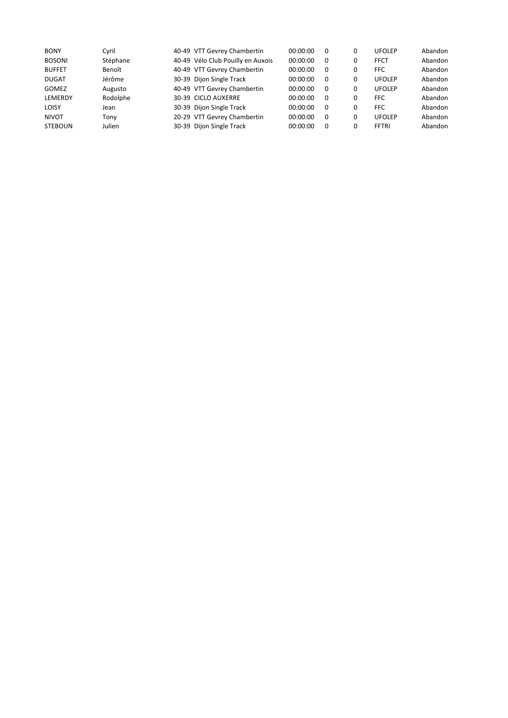| <b>BONY</b>    | Cvril    | 40-49 VTT Gevrey Chambertin       | 00:00:00 | 0        | 0 | <b>UFOLEP</b> | Abandon |
|----------------|----------|-----------------------------------|----------|----------|---|---------------|---------|
| <b>BOSONI</b>  | Stéphane | 40-49 Vélo Club Pouilly en Auxois | 00:00:00 | $\Omega$ | 0 | <b>FFCT</b>   | Abandon |
| <b>BUFFET</b>  | Benoît   | 40-49 VTT Gevrey Chambertin       | 00:00:00 | 0        | 0 | <b>FFC</b>    | Abandon |
| <b>DUGAT</b>   | Jérôme   | 30-39 Dijon Single Track          | 00:00:00 | 0        | 0 | <b>UFOLEP</b> | Abandon |
| <b>GOMEZ</b>   | Augusto  | 40-49 VTT Gevrey Chambertin       | 00:00:00 | $\Omega$ | 0 | <b>UFOLEP</b> | Abandon |
| LEMERDY        | Rodolphe | 30-39 CICLO AUXERRE               | 00:00:00 | $\Omega$ | 0 | <b>FFC</b>    | Abandon |
| <b>LOISY</b>   | Jean     | 30-39 Dijon Single Track          | 00:00:00 | $\Omega$ | 0 | <b>FFC</b>    | Abandon |
| <b>NIVOT</b>   | Tonv     | 20-29 VTT Gevrey Chambertin       | 00:00:00 | $\Omega$ | 0 | <b>UFOLEP</b> | Abandon |
| <b>STEBOUN</b> | Julien   | 30-39 Dijon Single Track          | 00:00:00 | $\Omega$ | 0 | <b>FFTRI</b>  | Abandon |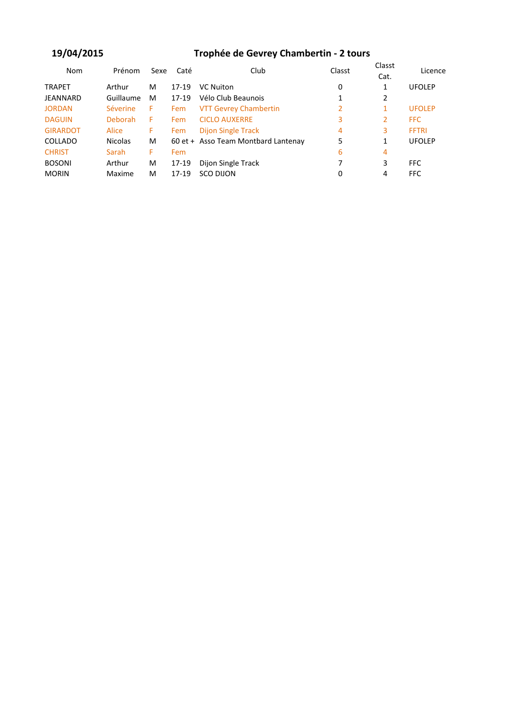### **19/04/2015**

# **Trophée de Gevrey Chambertin - 2 tours**

| <b>Nom</b>      | Prénom         | Sexe | Caté  | Club                                | Classt | Classt<br>Cat. | Licence       |  |
|-----------------|----------------|------|-------|-------------------------------------|--------|----------------|---------------|--|
| <b>TRAPET</b>   | Arthur         | M    | 17-19 | <b>VC Nuiton</b>                    | 0      | 1              | <b>UFOLEP</b> |  |
| JEANNARD        | Guillaume      | M    | 17-19 | Vélo Club Beaunois                  | 1      | 2              |               |  |
| <b>JORDAN</b>   | Séverine       | F.   | Fem   | <b>VTT Gevrey Chambertin</b>        | 2      | 1              | <b>UFOLEP</b> |  |
| <b>DAGUIN</b>   | Deborah        | F.   | Fem   | <b>CICLO AUXERRE</b>                | 3      | 2              | FFC.          |  |
| <b>GIRARDOT</b> | Alice          | F.   | Fem   | <b>Dijon Single Track</b>           | 4      | 3              | <b>FFTRI</b>  |  |
| COLLADO         | <b>Nicolas</b> | M    |       | 60 et + Asso Team Montbard Lantenay | 5      | 1              | <b>UFOLEP</b> |  |
| <b>CHRIST</b>   | Sarah          | F.   | Fem   |                                     | 6      | 4              |               |  |
| <b>BOSONI</b>   | Arthur         | M    | 17-19 | Dijon Single Track                  | 7      | 3              | FFC.          |  |
| <b>MORIN</b>    | Maxime         | M    | 17-19 | <b>SCO DIJON</b>                    | 0      | 4              | <b>FFC</b>    |  |